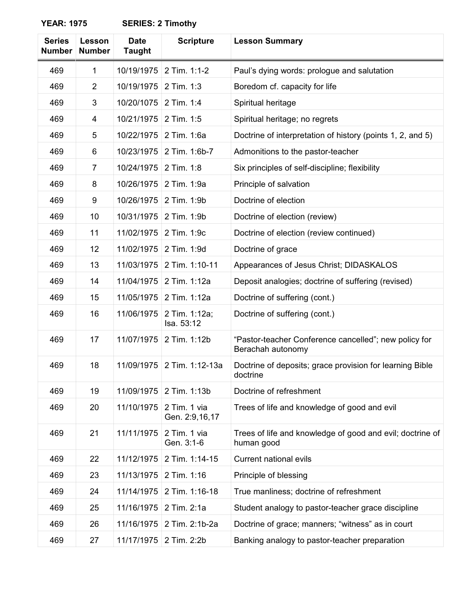| <b>YEAR: 1975</b> |  |
|-------------------|--|
|-------------------|--|

**SERIES: 2 Timothy** 

| <b>Series</b><br><b>Number</b> | Lesson<br><b>Number</b> | <b>Date</b><br><b>Taught</b> | <b>Scripture</b>               | <b>Lesson Summary</b>                                                      |
|--------------------------------|-------------------------|------------------------------|--------------------------------|----------------------------------------------------------------------------|
| 469                            | 1                       | 10/19/1975                   | 2 Tim. 1:1-2                   | Paul's dying words: prologue and salutation                                |
| 469                            | $\overline{2}$          | 10/19/1975                   | 2 Tim. 1:3                     | Boredom cf. capacity for life                                              |
| 469                            | 3                       | 10/20/1075                   | 2 Tim. 1:4                     | Spiritual heritage                                                         |
| 469                            | 4                       | 10/21/1975                   | 2 Tim. 1:5                     | Spiritual heritage; no regrets                                             |
| 469                            | 5                       | 10/22/1975                   | 2 Tim. 1:6a                    | Doctrine of interpretation of history (points 1, 2, and 5)                 |
| 469                            | 6                       | 10/23/1975                   | 2 Tim. 1:6b-7                  | Admonitions to the pastor-teacher                                          |
| 469                            | $\overline{7}$          | 10/24/1975                   | 2 Tim. 1:8                     | Six principles of self-discipline; flexibility                             |
| 469                            | 8                       | 10/26/1975                   | 2 Tim. 1:9a                    | Principle of salvation                                                     |
| 469                            | 9                       | 10/26/1975                   | 2 Tim. 1:9b                    | Doctrine of election                                                       |
| 469                            | 10                      | 10/31/1975                   | 2 Tim. 1:9b                    | Doctrine of election (review)                                              |
| 469                            | 11                      | 11/02/1975                   | 2 Tim. 1:9c                    | Doctrine of election (review continued)                                    |
| 469                            | 12                      | 11/02/1975                   | 2 Tim. 1:9d                    | Doctrine of grace                                                          |
| 469                            | 13                      | 11/03/1975                   | 2 Tim. 1:10-11                 | Appearances of Jesus Christ; DIDASKALOS                                    |
| 469                            | 14                      | 11/04/1975                   | 2 Tim. 1:12a                   | Deposit analogies; doctrine of suffering (revised)                         |
| 469                            | 15                      | 11/05/1975                   | 2 Tim. 1:12a                   | Doctrine of suffering (cont.)                                              |
| 469                            | 16                      | 11/06/1975                   | 2 Tim. 1:12a;<br>Isa. 53:12    | Doctrine of suffering (cont.)                                              |
| 469                            | 17                      | 11/07/1975                   | 2 Tim. 1:12b                   | "Pastor-teacher Conference cancelled"; new policy for<br>Berachah autonomy |
| 469                            | 18                      |                              | 11/09/1975   2 Tim. 1:12-13a   | Doctrine of deposits; grace provision for learning Bible<br>doctrine       |
| 469                            | 19                      | 11/09/1975                   | 2 Tim. 1:13b                   | Doctrine of refreshment                                                    |
| 469                            | 20                      | 11/10/1975                   | 2 Tim. 1 via<br>Gen. 2:9,16,17 | Trees of life and knowledge of good and evil                               |
| 469                            | 21                      | 11/11/1975                   | 2 Tim. 1 via<br>Gen. 3:1-6     | Trees of life and knowledge of good and evil; doctrine of<br>human good    |
| 469                            | 22                      | 11/12/1975                   | 2 Tim. 1:14-15                 | <b>Current national evils</b>                                              |
| 469                            | 23                      | 11/13/1975                   | 2 Tim. 1:16                    | Principle of blessing                                                      |
| 469                            | 24                      | 11/14/1975                   | 2 Tim. 1:16-18                 | True manliness; doctrine of refreshment                                    |
| 469                            | 25                      | 11/16/1975                   | 2 Tim. 2:1a                    | Student analogy to pastor-teacher grace discipline                         |
| 469                            | 26                      | 11/16/1975                   | 2 Tim. 2:1b-2a                 | Doctrine of grace; manners; "witness" as in court                          |
| 469                            | 27                      | 11/17/1975                   | 2 Tim. 2:2b                    | Banking analogy to pastor-teacher preparation                              |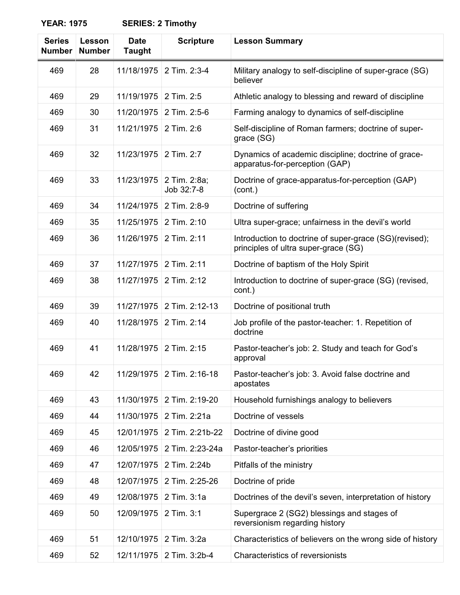| <b>YEAR: 1975</b> | <b>SERIES: 2 Timothy</b> |
|-------------------|--------------------------|
|-------------------|--------------------------|

| <b>SERIES: 2 Timothy</b> |  |  |  |
|--------------------------|--|--|--|
|--------------------------|--|--|--|

| <b>Series</b><br><b>Number</b> | Lesson<br><b>Number</b> | <b>Date</b><br><b>Taught</b> | <b>Scripture</b>           | <b>Lesson Summary</b>                                                                          |
|--------------------------------|-------------------------|------------------------------|----------------------------|------------------------------------------------------------------------------------------------|
| 469                            | 28                      | 11/18/1975                   | 2 Tim. 2:3-4               | Military analogy to self-discipline of super-grace (SG)<br>believer                            |
| 469                            | 29                      | 11/19/1975                   | 2 Tim. 2:5                 | Athletic analogy to blessing and reward of discipline                                          |
| 469                            | 30                      | 11/20/1975                   | 2 Tim. 2:5-6               | Farming analogy to dynamics of self-discipline                                                 |
| 469                            | 31                      | 11/21/1975                   | 2 Tim. 2:6                 | Self-discipline of Roman farmers; doctrine of super-<br>grace (SG)                             |
| 469                            | 32                      | 11/23/1975                   | 2 Tim. 2:7                 | Dynamics of academic discipline; doctrine of grace-<br>apparatus-for-perception (GAP)          |
| 469                            | 33                      | 11/23/1975                   | 2 Tim. 2:8a;<br>Job 32:7-8 | Doctrine of grace-apparatus-for-perception (GAP)<br>(cont.)                                    |
| 469                            | 34                      | 11/24/1975                   | 2 Tim. 2:8-9               | Doctrine of suffering                                                                          |
| 469                            | 35                      | 11/25/1975                   | 2 Tim. 2:10                | Ultra super-grace; unfairness in the devil's world                                             |
| 469                            | 36                      | 11/26/1975                   | 2 Tim. 2:11                | Introduction to doctrine of super-grace (SG)(revised);<br>principles of ultra super-grace (SG) |
| 469                            | 37                      | 11/27/1975                   | 2 Tim. 2:11                | Doctrine of baptism of the Holy Spirit                                                         |
| 469                            | 38                      | 11/27/1975                   | 2 Tim. 2:12                | Introduction to doctrine of super-grace (SG) (revised,<br>cont.)                               |
| 469                            | 39                      | 11/27/1975                   | 2 Tim. 2:12-13             | Doctrine of positional truth                                                                   |
| 469                            | 40                      | 11/28/1975                   | 2 Tim. 2:14                | Job profile of the pastor-teacher: 1. Repetition of<br>doctrine                                |
| 469                            | 41                      | 11/28/1975                   | 2 Tim. 2:15                | Pastor-teacher's job: 2. Study and teach for God's<br>approval                                 |
| 469                            | 42                      | 11/29/1975                   | 2 Tim. 2:16-18             | Pastor-teacher's job: 3. Avoid false doctrine and<br>apostates                                 |
| 469                            | 43                      | 11/30/1975                   | 2 Tim. 2:19-20             | Household furnishings analogy to believers                                                     |
| 469                            | 44                      | 11/30/1975                   | 2 Tim. 2:21a               | Doctrine of vessels                                                                            |
| 469                            | 45                      | 12/01/1975                   | 2 Tim. 2:21b-22            | Doctrine of divine good                                                                        |
| 469                            | 46                      | 12/05/1975                   | 2 Tim. 2:23-24a            | Pastor-teacher's priorities                                                                    |
| 469                            | 47                      | 12/07/1975                   | 2 Tim. 2:24b               | Pitfalls of the ministry                                                                       |
| 469                            | 48                      | 12/07/1975                   | 2 Tim. 2:25-26             | Doctrine of pride                                                                              |
| 469                            | 49                      | 12/08/1975                   | 2 Tim. 3:1a                | Doctrines of the devil's seven, interpretation of history                                      |
| 469                            | 50                      | 12/09/1975                   | 2 Tim. 3:1                 | Supergrace 2 (SG2) blessings and stages of<br>reversionism regarding history                   |
| 469                            | 51                      | 12/10/1975                   | 2 Tim. 3:2a                | Characteristics of believers on the wrong side of history                                      |
| 469                            | 52                      |                              | 12/11/1975   2 Tim. 3:2b-4 | Characteristics of reversionists                                                               |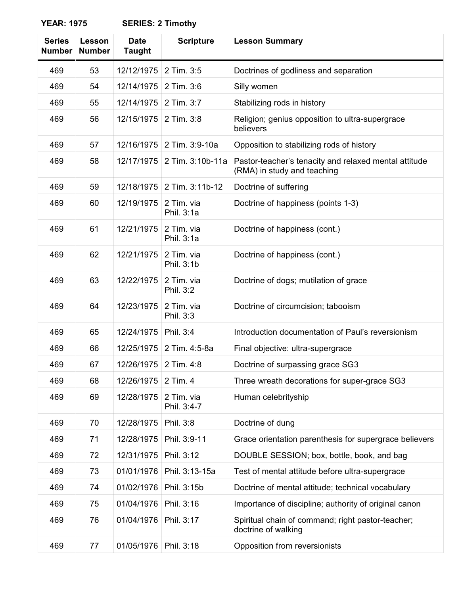**Timothy** 

| <b>Series</b><br><b>Number</b> | Lesson<br><b>Number</b> | <b>Date</b><br><b>Taught</b> | <b>Scripture</b>          | <b>Lesson Summary</b>                                                                |
|--------------------------------|-------------------------|------------------------------|---------------------------|--------------------------------------------------------------------------------------|
| 469                            | 53                      | 12/12/1975                   | 2 Tim. 3:5                | Doctrines of godliness and separation                                                |
| 469                            | 54                      | 12/14/1975                   | 2 Tim. 3:6                | Silly women                                                                          |
| 469                            | 55                      | 12/14/1975                   | 2 Tim. 3:7                | Stabilizing rods in history                                                          |
| 469                            | 56                      | 12/15/1975                   | 2 Tim. 3:8                | Religion; genius opposition to ultra-supergrace<br>believers                         |
| 469                            | 57                      | 12/16/1975                   | 2 Tim. 3:9-10a            | Opposition to stabilizing rods of history                                            |
| 469                            | 58                      | 12/17/1975                   | 2 Tim. 3:10b-11a          | Pastor-teacher's tenacity and relaxed mental attitude<br>(RMA) in study and teaching |
| 469                            | 59                      | 12/18/1975                   | 2 Tim. 3:11b-12           | Doctrine of suffering                                                                |
| 469                            | 60                      | 12/19/1975                   | 2 Tim. via<br>Phil. 3:1a  | Doctrine of happiness (points 1-3)                                                   |
| 469                            | 61                      | 12/21/1975                   | 2 Tim. via<br>Phil. 3:1a  | Doctrine of happiness (cont.)                                                        |
| 469                            | 62                      | 12/21/1975                   | 2 Tim. via<br>Phil. 3:1b  | Doctrine of happiness (cont.)                                                        |
| 469                            | 63                      | 12/22/1975                   | 2 Tim. via<br>Phil. 3:2   | Doctrine of dogs; mutilation of grace                                                |
| 469                            | 64                      | 12/23/1975                   | 2 Tim. via<br>Phil. 3:3   | Doctrine of circumcision; tabooism                                                   |
| 469                            | 65                      | 12/24/1975                   | Phil. 3:4                 | Introduction documentation of Paul's reversionism                                    |
| 469                            | 66                      | 12/25/1975                   | 2 Tim. 4:5-8a             | Final objective: ultra-supergrace                                                    |
| 469                            | 67                      | 12/26/1975                   | 2 Tim. 4:8                | Doctrine of surpassing grace SG3                                                     |
| 469                            | 68                      | 12/26/1975                   | 2 Tim. 4                  | Three wreath decorations for super-grace SG3                                         |
| 469                            | 69                      | 12/28/1975                   | 2 Tim. via<br>Phil. 3:4-7 | Human celebrityship                                                                  |
| 469                            | 70                      | 12/28/1975                   | Phil. 3:8                 | Doctrine of dung                                                                     |
| 469                            | 71                      | 12/28/1975                   | Phil. 3:9-11              | Grace orientation parenthesis for supergrace believers                               |
| 469                            | 72                      | 12/31/1975                   | Phil. 3:12                | DOUBLE SESSION; box, bottle, book, and bag                                           |
| 469                            | 73                      | 01/01/1976                   | Phil. 3:13-15a            | Test of mental attitude before ultra-supergrace                                      |
| 469                            | 74                      | 01/02/1976                   | Phil. 3:15b               | Doctrine of mental attitude; technical vocabulary                                    |
| 469                            | 75                      | 01/04/1976                   | Phil. 3:16                | Importance of discipline; authority of original canon                                |
| 469                            | 76                      | 01/04/1976                   | Phil. 3:17                | Spiritual chain of command; right pastor-teacher;<br>doctrine of walking             |
| 469                            | 77                      | 01/05/1976                   | Phil. 3:18                | Opposition from reversionists                                                        |